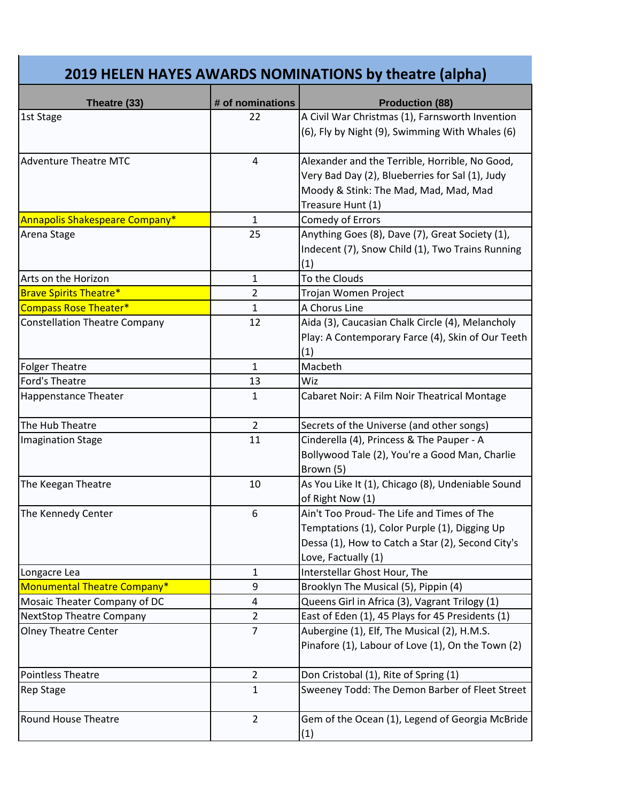| 2019 HELEN HAYES AWARDS NOMINATIONS by theatre (alpha) |                  |                                                                                                                                                                         |  |
|--------------------------------------------------------|------------------|-------------------------------------------------------------------------------------------------------------------------------------------------------------------------|--|
| Theatre (33)                                           | # of nominations | <b>Production (88)</b>                                                                                                                                                  |  |
| 1st Stage                                              | 22               | A Civil War Christmas (1), Farnsworth Invention<br>(6), Fly by Night (9), Swimming With Whales (6)                                                                      |  |
| <b>Adventure Theatre MTC</b>                           | $\overline{4}$   | Alexander and the Terrible, Horrible, No Good,<br>Very Bad Day (2), Blueberries for Sal (1), Judy<br>Moody & Stink: The Mad, Mad, Mad, Mad<br>Treasure Hunt (1)         |  |
| Annapolis Shakespeare Company*                         | $\mathbf{1}$     | <b>Comedy of Errors</b>                                                                                                                                                 |  |
| Arena Stage                                            | 25               | Anything Goes (8), Dave (7), Great Society (1),<br>Indecent (7), Snow Child (1), Two Trains Running<br>(1)                                                              |  |
| Arts on the Horizon                                    | $\mathbf{1}$     | To the Clouds                                                                                                                                                           |  |
| <b>Brave Spirits Theatre*</b>                          | $\overline{2}$   | Trojan Women Project                                                                                                                                                    |  |
| <b>Compass Rose Theater*</b>                           | $\mathbf{1}$     | A Chorus Line                                                                                                                                                           |  |
| <b>Constellation Theatre Company</b>                   | 12               | Aida (3), Caucasian Chalk Circle (4), Melancholy<br>Play: A Contemporary Farce (4), Skin of Our Teeth<br>(1)                                                            |  |
| <b>Folger Theatre</b>                                  | $\mathbf 1$      | Macbeth                                                                                                                                                                 |  |
| Ford's Theatre                                         | 13               | Wiz                                                                                                                                                                     |  |
| <b>Happenstance Theater</b>                            | $\mathbf{1}$     | Cabaret Noir: A Film Noir Theatrical Montage                                                                                                                            |  |
| The Hub Theatre                                        | $\overline{2}$   | Secrets of the Universe (and other songs)                                                                                                                               |  |
| <b>Imagination Stage</b>                               | 11               | Cinderella (4), Princess & The Pauper - A<br>Bollywood Tale (2), You're a Good Man, Charlie<br>Brown (5)                                                                |  |
| The Keegan Theatre                                     | 10               | As You Like It (1), Chicago (8), Undeniable Sound<br>of Right Now (1)                                                                                                   |  |
| The Kennedy Center                                     | 6                | Ain't Too Proud- The Life and Times of The<br>Temptations (1), Color Purple (1), Digging Up<br>Dessa (1), How to Catch a Star (2), Second City's<br>Love, Factually (1) |  |
| Longacre Lea                                           | 1                | Interstellar Ghost Hour, The                                                                                                                                            |  |
| Monumental Theatre Company*                            | 9                | Brooklyn The Musical (5), Pippin (4)                                                                                                                                    |  |
| Mosaic Theater Company of DC                           | 4                | Queens Girl in Africa (3), Vagrant Trilogy (1)                                                                                                                          |  |
| <b>NextStop Theatre Company</b>                        | $\overline{2}$   | East of Eden (1), 45 Plays for 45 Presidents (1)                                                                                                                        |  |
| <b>Olney Theatre Center</b>                            | $\overline{7}$   | Aubergine (1), Elf, The Musical (2), H.M.S.<br>Pinafore (1), Labour of Love (1), On the Town (2)                                                                        |  |
| <b>Pointless Theatre</b>                               | $\overline{2}$   | Don Cristobal (1), Rite of Spring (1)                                                                                                                                   |  |
| <b>Rep Stage</b>                                       | 1                | Sweeney Todd: The Demon Barber of Fleet Street                                                                                                                          |  |
| <b>Round House Theatre</b>                             | $\overline{2}$   | Gem of the Ocean (1), Legend of Georgia McBride<br>(1)                                                                                                                  |  |